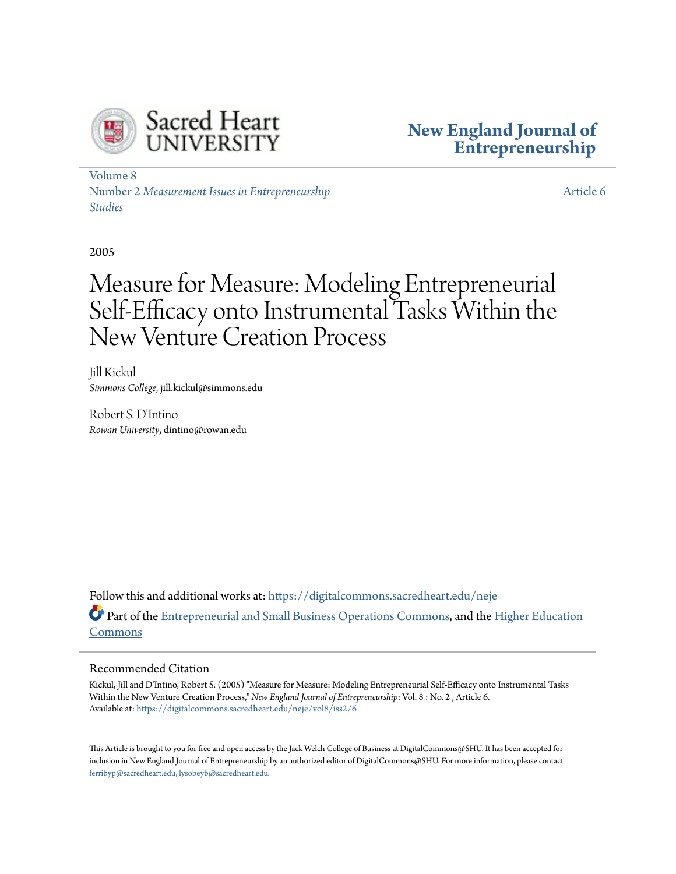

## **[New England Journal of](https://digitalcommons.sacredheart.edu/neje?utm_source=digitalcommons.sacredheart.edu%2Fneje%2Fvol8%2Fiss2%2F6&utm_medium=PDF&utm_campaign=PDFCoverPages) [Entrepreneurship](https://digitalcommons.sacredheart.edu/neje?utm_source=digitalcommons.sacredheart.edu%2Fneje%2Fvol8%2Fiss2%2F6&utm_medium=PDF&utm_campaign=PDFCoverPages)**

[Volume 8](https://digitalcommons.sacredheart.edu/neje/vol8?utm_source=digitalcommons.sacredheart.edu%2Fneje%2Fvol8%2Fiss2%2F6&utm_medium=PDF&utm_campaign=PDFCoverPages) Number 2 *[Measurement Issues in Entrepreneurship](https://digitalcommons.sacredheart.edu/neje/vol8/iss2?utm_source=digitalcommons.sacredheart.edu%2Fneje%2Fvol8%2Fiss2%2F6&utm_medium=PDF&utm_campaign=PDFCoverPages) [Studies](https://digitalcommons.sacredheart.edu/neje/vol8/iss2?utm_source=digitalcommons.sacredheart.edu%2Fneje%2Fvol8%2Fiss2%2F6&utm_medium=PDF&utm_campaign=PDFCoverPages)*

[Article 6](https://digitalcommons.sacredheart.edu/neje/vol8/iss2/6?utm_source=digitalcommons.sacredheart.edu%2Fneje%2Fvol8%2Fiss2%2F6&utm_medium=PDF&utm_campaign=PDFCoverPages)

2005

# Measure for Measure: Modeling Entrepreneurial Self-Efficacy onto Instrumental Tasks Within the New Venture Creation Process

Jill Kickul *Simmons College*, jill.kickul@simmons.edu

Robert S. D'Intino *Rowan University*, dintino@rowan.edu

Follow this and additional works at: [https://digitalcommons.sacredheart.edu/neje](https://digitalcommons.sacredheart.edu/neje?utm_source=digitalcommons.sacredheart.edu%2Fneje%2Fvol8%2Fiss2%2F6&utm_medium=PDF&utm_campaign=PDFCoverPages) Part of the [Entrepreneurial and Small Business Operations Commons](http://network.bepress.com/hgg/discipline/630?utm_source=digitalcommons.sacredheart.edu%2Fneje%2Fvol8%2Fiss2%2F6&utm_medium=PDF&utm_campaign=PDFCoverPages), and the [Higher Education](http://network.bepress.com/hgg/discipline/1245?utm_source=digitalcommons.sacredheart.edu%2Fneje%2Fvol8%2Fiss2%2F6&utm_medium=PDF&utm_campaign=PDFCoverPages) [Commons](http://network.bepress.com/hgg/discipline/1245?utm_source=digitalcommons.sacredheart.edu%2Fneje%2Fvol8%2Fiss2%2F6&utm_medium=PDF&utm_campaign=PDFCoverPages)

## Recommended Citation

Kickul, Jill and D'Intino, Robert S. (2005) "Measure for Measure: Modeling Entrepreneurial Self-Efficacy onto Instrumental Tasks Within the New Venture Creation Process," *New England Journal of Entrepreneurship*: Vol. 8 : No. 2 , Article 6. Available at: [https://digitalcommons.sacredheart.edu/neje/vol8/iss2/6](https://digitalcommons.sacredheart.edu/neje/vol8/iss2/6?utm_source=digitalcommons.sacredheart.edu%2Fneje%2Fvol8%2Fiss2%2F6&utm_medium=PDF&utm_campaign=PDFCoverPages)

This Article is brought to you for free and open access by the Jack Welch College of Business at DigitalCommons@SHU. It has been accepted for inclusion in New England Journal of Entrepreneurship by an authorized editor of DigitalCommons@SHU. For more information, please contact [ferribyp@sacredheart.edu, lysobeyb@sacredheart.edu.](mailto:ferribyp@sacredheart.edu,%20lysobeyb@sacredheart.edu)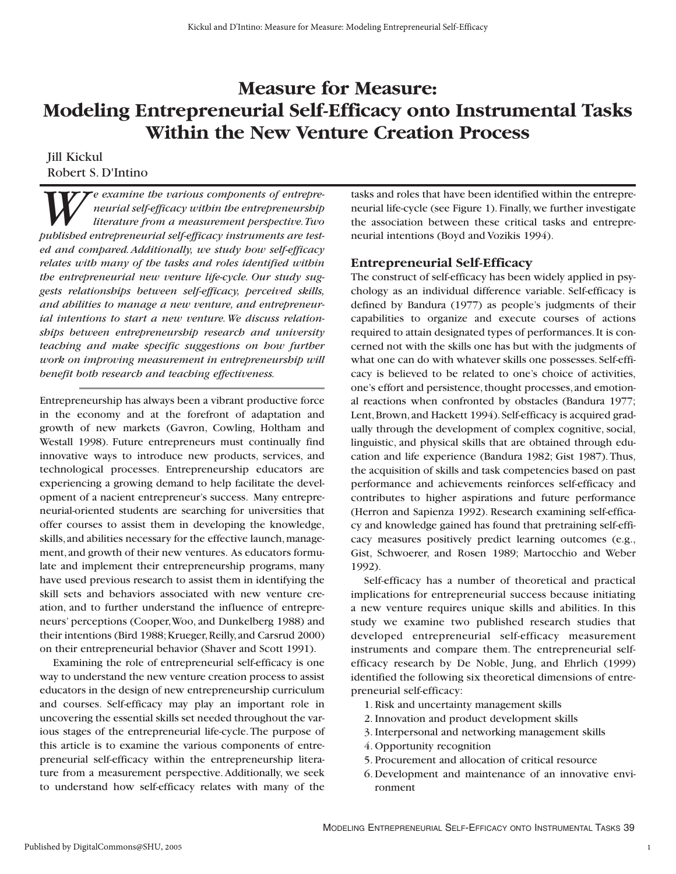## **Measure for Measure: Modeling Entrepreneurial Self-Efficacy onto Instrumental Tasks Within the New Venture Creation Process**

## Jill Kickul Robert S. D'Intino

*W examine the various components of entrepreneurship*<br> *published entrepreneurial self-efficacy instruments are test-*<br> *published entrepreneurial self-efficacy instruments are testneurial self-efficacy within the entrepreneurship literature from a measurement perspective.Two ed and compared. Additionally, we study how self-efficacy relates with many of the tasks and roles identified within the entrepreneurial new venture life-cycle. Our study suggests relationships between self-efficacy, perceived skills, and abilities to manage a new venture, and entrepreneurial intentions to start a new venture.We discuss relationships between entrepreneurship research and university teaching and make specific suggestions on how further work on improving measurement in entrepreneurship will benefit both research and teaching effectiveness.*

Entrepreneurship has always been a vibrant productive force in the economy and at the forefront of adaptation and growth of new markets (Gavron, Cowling, Holtham and Westall 1998). Future entrepreneurs must continually find innovative ways to introduce new products, services, and technological processes. Entrepreneurship educators are experiencing a growing demand to help facilitate the development of a nacient entrepreneur's success. Many entrepreneurial-oriented students are searching for universities that offer courses to assist them in developing the knowledge, skills, and abilities necessary for the effective launch,management,and growth of their new ventures. As educators formulate and implement their entrepreneurship programs, many have used previous research to assist them in identifying the skill sets and behaviors associated with new venture creation, and to further understand the influence of entrepreneurs' perceptions (Cooper,Woo, and Dunkelberg 1988) and their intentions (Bird 1988; Krueger, Reilly, and Carsrud 2000) on their entrepreneurial behavior (Shaver and Scott 1991).

Examining the role of entrepreneurial self-efficacy is one way to understand the new venture creation process to assist educators in the design of new entrepreneurship curriculum and courses. Self-efficacy may play an important role in uncovering the essential skills set needed throughout the various stages of the entrepreneurial life-cycle.The purpose of this article is to examine the various components of entrepreneurial self-efficacy within the entrepreneurship literature from a measurement perspective. Additionally, we seek to understand how self-efficacy relates with many of the

tasks and roles that have been identified within the entrepreneurial life-cycle (see Figure 1). Finally, we further investigate the association between these critical tasks and entrepreneurial intentions (Boyd and Vozikis 1994).

#### **Entrepreneurial Self-Efficacy**

The construct of self-efficacy has been widely applied in psychology as an individual difference variable. Self-efficacy is defined by Bandura (1977) as people's judgments of their capabilities to organize and execute courses of actions required to attain designated types of performances.It is concerned not with the skills one has but with the judgments of what one can do with whatever skills one possesses. Self-efficacy is believed to be related to one's choice of activities, one's effort and persistence, thought processes, and emotional reactions when confronted by obstacles (Bandura 1977; Lent, Brown, and Hackett 1994). Self-efficacy is acquired gradually through the development of complex cognitive, social, linguistic, and physical skills that are obtained through education and life experience (Bandura 1982; Gist 1987).Thus, the acquisition of skills and task competencies based on past performance and achievements reinforces self-efficacy and contributes to higher aspirations and future performance (Herron and Sapienza 1992). Research examining self-efficacy and knowledge gained has found that pretraining self-efficacy measures positively predict learning outcomes (e.g., Gist, Schwoerer, and Rosen 1989; Martocchio and Weber 1992).

Self-efficacy has a number of theoretical and practical implications for entrepreneurial success because initiating a new venture requires unique skills and abilities. In this study we examine two published research studies that developed entrepreneurial self-efficacy measurement instruments and compare them. The entrepreneurial selfefficacy research by De Noble, Jung, and Ehrlich (1999) identified the following six theoretical dimensions of entrepreneurial self-efficacy:

- 1. Risk and uncertainty management skills
- 2. Innovation and product development skills
- 3. Interpersonal and networking management skills
- 4. Opportunity recognition
- 5. Procurement and allocation of critical resource
- 6. Development and maintenance of an innovative environment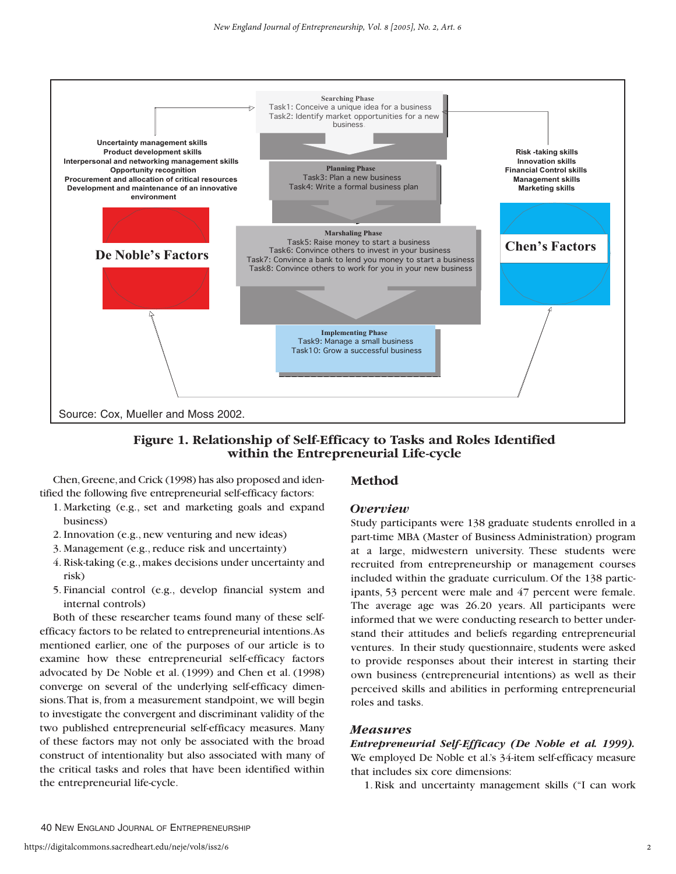

**Figure 1. Relationship of Self-Efficacy to Tasks and Roles Identified within the Entrepreneurial Life-cycle**

Chen,Greene,and Crick (1998) has also proposed and identified the following five entrepreneurial self-efficacy factors:

- 1. Marketing (e.g., set and marketing goals and expand business)
- 2. Innovation (e.g., new venturing and new ideas)
- 3. Management (e.g., reduce risk and uncertainty)
- 4. Risk-taking (e.g.,makes decisions under uncertainty and risk)
- 5. Financial control (e.g., develop financial system and internal controls)

Both of these researcher teams found many of these selfefficacy factors to be related to entrepreneurial intentions.As mentioned earlier, one of the purposes of our article is to examine how these entrepreneurial self-efficacy factors advocated by De Noble et al. (1999) and Chen et al. (1998) converge on several of the underlying self-efficacy dimensions.That is, from a measurement standpoint, we will begin to investigate the convergent and discriminant validity of the two published entrepreneurial self-efficacy measures. Many of these factors may not only be associated with the broad construct of intentionality but also associated with many of the critical tasks and roles that have been identified within the entrepreneurial life-cycle.

#### **Method**

#### *Overview*

Study participants were 138 graduate students enrolled in a part-time MBA (Master of Business Administration) program at a large, midwestern university. These students were recruited from entrepreneurship or management courses included within the graduate curriculum. Of the 138 participants, 53 percent were male and 47 percent were female. The average age was 26.20 years. All participants were informed that we were conducting research to better understand their attitudes and beliefs regarding entrepreneurial ventures. In their study questionnaire, students were asked to provide responses about their interest in starting their own business (entrepreneurial intentions) as well as their perceived skills and abilities in performing entrepreneurial roles and tasks.

#### *Measures*

*Entrepreneurial Self-Efficacy (De Noble et al. 1999).* We employed De Noble et al.'s 34-item self-efficacy measure that includes six core dimensions:

1. Risk and uncertainty management skills ("I can work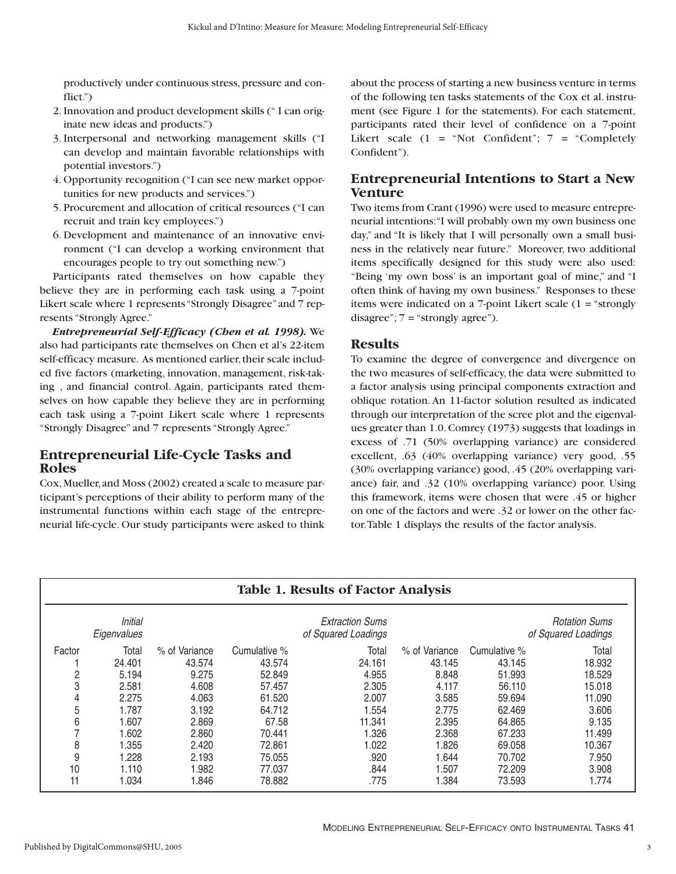productively under continuous stress, pressure and conflict.")

- 2. Innovation and product development skills (" I can originate new ideas and products.")
- 3. Interpersonal and networking management skills ("I can develop and maintain favorable relationships with potential investors.")
- 4. Opportunity recognition ("I can see new market opportunities for new products and services.")
- 5. Procurement and allocation of critical resources ("I can recruit and train key employees.")
- 6. Development and maintenance of an innovative environment ("I can develop a working environment that encourages people to try out something new.")

Participants rated themselves on how capable they believe they are in performing each task using a 7-point Likert scale where 1 represents "Strongly Disagree"and 7 represents "Strongly Agree."

*Entrepreneurial Self-Efficacy (Chen et al. 1998).* We also had participants rate themselves on Chen et al's 22-item self-efficacy measure. As mentioned earlier, their scale included five factors (marketing, innovation, management, risk-taking , and financial control. Again, participants rated themselves on how capable they believe they are in performing each task using a 7-point Likert scale where 1 represents "Strongly Disagree" and 7 represents "Strongly Agree."

## **Entrepreneurial Life-Cycle Tasks and Roles**

Cox,Mueller,and Moss (2002) created a scale to measure participant's perceptions of their ability to perform many of the instrumental functions within each stage of the entrepreneurial life-cycle. Our study participants were asked to think about the process of starting a new business venture in terms of the following ten tasks statements of the Cox et al. instrument (see Figure 1 for the statements). For each statement, participants rated their level of confidence on a 7-point Likert scale  $(1 = "Not Conflict"; 7 = "Completely"$ Confident").

## **Entrepreneurial Intentions to Start a New Venture**

Two items from Crant (1996) were used to measure entrepreneurial intentions:"I will probably own my own business one day," and "It is likely that I will personally own a small business in the relatively near future." Moreover, two additional items specifically designed for this study were also used: "Being 'my own boss' is an important goal of mine," and "I often think of having my own business." Responses to these items were indicated on a 7-point Likert scale (1 = "strongly disagree";  $7 =$  "strongly agree").

### **Results**

To examine the degree of convergence and divergence on the two measures of self-efficacy, the data were submitted to a factor analysis using principal components extraction and oblique rotation. An 11-factor solution resulted as indicated through our interpretation of the scree plot and the eigenvalues greater than 1.0. Comrey (1973) suggests that loadings in excess of .71 (50% overlapping variance) are considered excellent, .63 (40% overlapping variance) very good, .55 (30% overlapping variance) good, .45 (20% overlapping variance) fair, and .32 (10% overlapping variance) poor. Using this framework, items were chosen that were .45 or higher on one of the factors and were .32 or lower on the other factor.Table 1 displays the results of the factor analysis.

|                | <b>Table 1. Results of Factor Analysis</b> |               |              |                                               |                                             |              |        |  |  |  |
|----------------|--------------------------------------------|---------------|--------------|-----------------------------------------------|---------------------------------------------|--------------|--------|--|--|--|
|                | <b>Initial</b><br>Eigenvalues              |               |              | <b>Extraction Sums</b><br>of Squared Loadings | <b>Rotation Sums</b><br>of Squared Loadings |              |        |  |  |  |
| Factor         | Total                                      | % of Variance | Cumulative % | Total                                         | % of Variance                               | Cumulative % | Total  |  |  |  |
|                | 24.401                                     | 43.574        | 43.574       | 24.161                                        | 43.145                                      | 43.145       | 18.932 |  |  |  |
| $\overline{c}$ | 5.194                                      | 9.275         | 52.849       | 4.955                                         | 8.848                                       | 51.993       | 18.529 |  |  |  |
| 3              | 2.581                                      | 4.608         | 57.457       | 2.305                                         | 4.117                                       | 56.110       | 15.018 |  |  |  |
| 4              | 2.275                                      | 4.063         | 61.520       | 2.007                                         | 3.585                                       | 59.694       | 11.090 |  |  |  |
| 5              | 1.787                                      | 3.192         | 64.712       | 1.554                                         | 2.775                                       | 62.469       | 3.606  |  |  |  |
| 6              | 1.607                                      | 2.869         | 67.58        | 11.341                                        | 2.395                                       | 64.865       | 9.135  |  |  |  |
|                | 1.602                                      | 2.860         | 70.441       | 1.326                                         | 2.368                                       | 67.233       | 11.499 |  |  |  |
| 8              | 1.355                                      | 2.420         | 72.861       | 1.022                                         | 1.826                                       | 69.058       | 10.367 |  |  |  |
| 9              | 1.228                                      | 2.193         | 75.055       | .920                                          | 1.644                                       | 70.702       | 7.950  |  |  |  |
| 10             | 1.110                                      | 1.982         | 77.037       | .844                                          | 1.507                                       | 72.209       | 3.908  |  |  |  |
| 11             | 1.034                                      | 1.846         | 78.882       | .775                                          | 1.384                                       | 73.593       | 1.774  |  |  |  |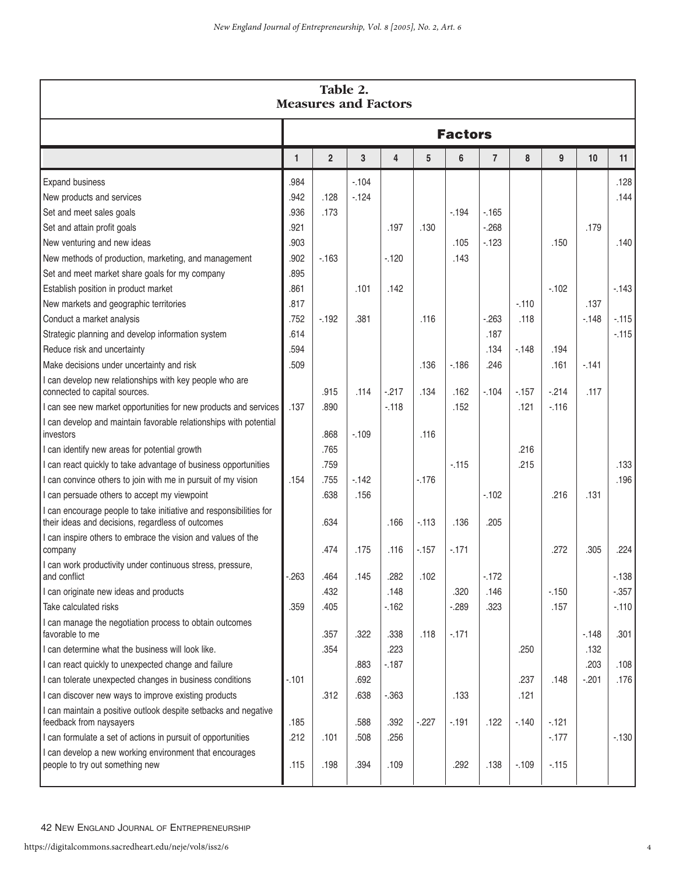| Table 2.<br><b>Measures and Factors</b>                                                                                 |                |                |        |          |        |                |                |          |        |        |          |
|-------------------------------------------------------------------------------------------------------------------------|----------------|----------------|--------|----------|--------|----------------|----------------|----------|--------|--------|----------|
|                                                                                                                         | <b>Factors</b> |                |        |          |        |                |                |          |        |        |          |
|                                                                                                                         | 1              | $\overline{2}$ | 3      | 4        | 5      | $6\phantom{1}$ | $\overline{7}$ | 8        | 9      | 10     | 11       |
| <b>Expand business</b>                                                                                                  | .984           |                | $-104$ |          |        |                |                |          |        |        | .128     |
| New products and services                                                                                               | .942           | .128           | $-124$ |          |        |                |                |          |        |        | .144     |
| Set and meet sales goals                                                                                                | .936           | .173           |        |          |        | $-194$         | $-165$         |          |        |        |          |
| Set and attain profit goals                                                                                             | .921           |                |        | .197     | .130   |                | $-268$         |          |        | .179   |          |
| New venturing and new ideas                                                                                             | .903           |                |        |          |        | .105           | $-123$         |          | .150   |        | .140     |
| New methods of production, marketing, and management                                                                    | .902           | $-163$         |        | $-120$   |        | .143           |                |          |        |        |          |
| Set and meet market share goals for my company                                                                          | .895           |                |        |          |        |                |                |          |        |        |          |
| Establish position in product market                                                                                    | .861           |                | .101   | .142     |        |                |                |          | $-102$ |        | $-143$   |
| New markets and geographic territories                                                                                  | .817           |                |        |          |        |                |                | $-0.110$ |        | .137   |          |
| Conduct a market analysis                                                                                               | .752           | $-192$         | .381   |          | .116   |                | $-263$         | .118     |        | $-148$ | $-115$   |
| Strategic planning and develop information system                                                                       | .614           |                |        |          |        |                | .187           |          |        |        | $-115$   |
| Reduce risk and uncertainty                                                                                             | .594           |                |        |          |        |                | .134           | $-148$   | .194   |        |          |
| Make decisions under uncertainty and risk                                                                               | .509           |                |        |          | .136   | $-186$         | .246           |          | .161   | $-141$ |          |
| I can develop new relationships with key people who are<br>connected to capital sources.                                |                | .915           | .114   | $-217$   | .134   | .162           | $-104$         | $-157$   | $-214$ | .117   |          |
| I can see new market opportunities for new products and services                                                        |                | .890           |        | $-118$   |        | .152           |                | .121     | $-116$ |        |          |
| I can develop and maintain favorable relationships with potential<br>investors                                          |                | .868           | $-109$ |          | .116   |                |                |          |        |        |          |
| I can identify new areas for potential growth                                                                           |                | .765           |        |          |        |                |                | .216     |        |        |          |
| I can react quickly to take advantage of business opportunities                                                         |                | .759           |        |          |        | $-115$         |                | .215     |        |        | .133     |
| I can convince others to join with me in pursuit of my vision                                                           | .154           | .755           | $-142$ |          | $-176$ |                |                |          |        |        | .196     |
| I can persuade others to accept my viewpoint                                                                            |                | .638           | .156   |          |        |                | $-102$         |          | .216   | .131   |          |
| I can encourage people to take initiative and responsibilities for<br>their ideas and decisions, regardless of outcomes |                | .634           |        | .166     | $-113$ | .136           | .205           |          |        |        |          |
| I can inspire others to embrace the vision and values of the                                                            |                |                |        |          |        |                |                |          |        |        |          |
| company                                                                                                                 |                | .474           | .175   | .116     | $-157$ | $-171$         |                |          | .272   | .305   | .224     |
| I can work productivity under continuous stress, pressure,<br>and conflict                                              | .263           | .464           | .145   | .282     | .102   |                | $-172$         |          |        |        | $-138$   |
| I can originate new ideas and products                                                                                  |                | .432           |        | .148     |        | .320           | .146           |          | $-150$ |        | $-0.357$ |
| Take calculated risks                                                                                                   | .359           | .405           |        | $-162$   |        | $-289$         | .323           |          | .157   |        | $-110$   |
| I can manage the negotiation process to obtain outcomes<br>favorable to me                                              |                | .357           | .322   | .338     | .118   | $-171$         |                |          |        | $-148$ | .301     |
| I can determine what the business will look like.                                                                       |                | .354           |        | .223     |        |                |                | .250     |        | .132   |          |
| I can react quickly to unexpected change and failure                                                                    |                |                | .883   | $-187$   |        |                |                |          |        | .203   | .108     |
| I can tolerate unexpected changes in business conditions                                                                | $-101$         |                | .692   |          |        |                |                | .237     | .148   | $-201$ | .176     |
| I can discover new ways to improve existing products                                                                    |                | .312           | .638   | $-0.363$ |        | .133           |                | .121     |        |        |          |
| I can maintain a positive outlook despite setbacks and negative<br>feedback from naysayers                              | .185           |                | .588   | .392     | $-227$ | $-191$         | .122           | $-140$   | $-121$ |        |          |
| I can formulate a set of actions in pursuit of opportunities                                                            | .212           | .101           | .508   | .256     |        |                |                |          | $-177$ |        | $-130$   |
| I can develop a new working environment that encourages<br>people to try out something new                              | .115           | .198           | .394   | .109     |        | .292           | .138           | $-109$   | $-115$ |        |          |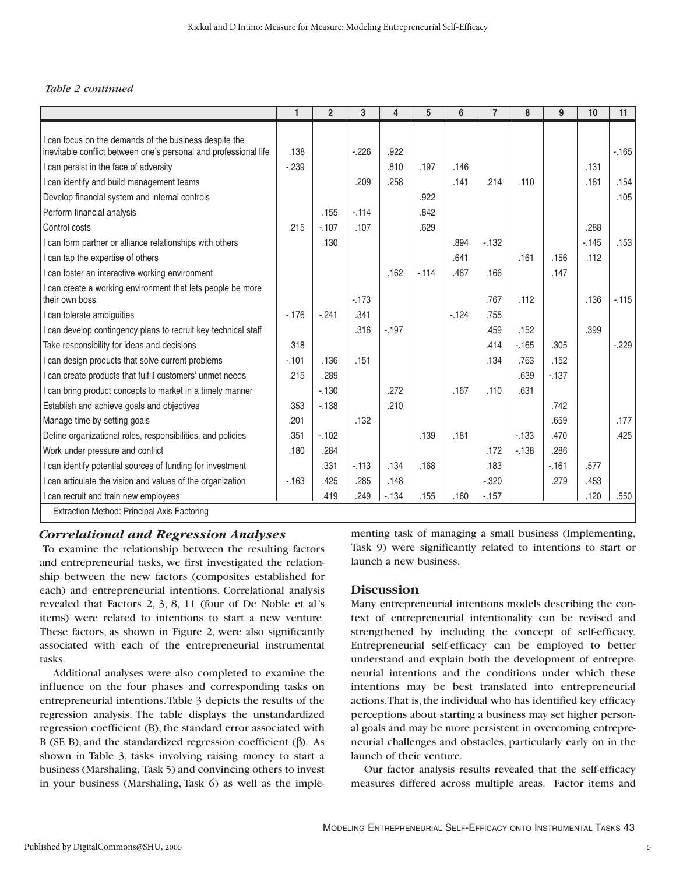#### *Table 2 continued*

|                                                                  | 1      | $\overline{2}$ | 3      | 4      | 5      | 6      | 7        | 8      | 9      | 10     | 11     |
|------------------------------------------------------------------|--------|----------------|--------|--------|--------|--------|----------|--------|--------|--------|--------|
|                                                                  |        |                |        |        |        |        |          |        |        |        |        |
| I can focus on the demands of the business despite the           |        |                |        |        |        |        |          |        |        |        |        |
| inevitable conflict between one's personal and professional life | .138   |                | $-226$ | .922   |        |        |          |        |        |        | $-165$ |
| I can persist in the face of adversity                           | $-239$ |                |        | .810   | .197   | .146   |          |        |        | .131   |        |
| can identify and build management teams                          |        |                | .209   | .258   |        | .141   | .214     | .110   |        | .161   | .154   |
| Develop financial system and internal controls                   |        |                |        |        | .922   |        |          |        |        |        | .105   |
| Perform financial analysis                                       |        | .155           | $-114$ |        | .842   |        |          |        |        |        |        |
| Control costs                                                    | .215   | $-107$         | .107   |        | .629   |        |          |        |        | .288   |        |
| can form partner or alliance relationships with others           |        | .130           |        |        |        | .894   | $-132$   |        |        | $-145$ | .153   |
| I can tap the expertise of others                                |        |                |        |        |        | .641   |          | .161   | .156   | .112   |        |
| can foster an interactive working environment                    |        |                |        | .162   | $-114$ | .487   | .166     |        | .147   |        |        |
| can create a working environment that lets people be more        |        |                |        |        |        |        |          |        |        |        |        |
| their own boss                                                   |        |                | $-173$ |        |        |        | .767     | .112   |        | .136   | $-115$ |
| can tolerate ambiguities                                         | $-176$ | $-241$         | .341   |        |        | $-124$ | .755     |        |        |        |        |
| I can develop contingency plans to recruit key technical staff   |        |                | .316   | $-197$ |        |        | .459     | .152   |        | .399   |        |
| Take responsibility for ideas and decisions                      | .318   |                |        |        |        |        | .414     | $-165$ | .305   |        | $-229$ |
| can design products that solve current problems                  | $-101$ | .136           | .151   |        |        |        | .134     | .763   | .152   |        |        |
| can create products that fulfill customers' unmet needs          | .215   | .289           |        |        |        |        |          | .639   | $-137$ |        |        |
| can bring product concepts to market in a timely manner          |        | $-130$         |        | .272   |        | .167   | .110     | .631   |        |        |        |
| Establish and achieve goals and objectives                       | .353   | $-138$         |        | .210   |        |        |          |        | .742   |        |        |
| Manage time by setting goals                                     | .201   |                | .132   |        |        |        |          |        | .659   |        | .177   |
| Define organizational roles, responsibilities, and policies      | .351   | $-102$         |        |        | .139   | .181   |          | $-133$ | .470   |        | .425   |
| Work under pressure and conflict                                 | .180   | .284           |        |        |        |        | .172     | $-138$ | .286   |        |        |
| can identify potential sources of funding for investment         |        | .331           | $-113$ | .134   | .168   |        | .183     |        | $-161$ | .577   |        |
| can articulate the vision and values of the organization         | $-163$ | .425           | .285   | .148   |        |        | $-0.320$ |        | .279   | .453   |        |
| can recruit and train new employees                              |        | .419           | .249   | $-134$ | .155   | .160   | $-157$   |        |        | .120   | .550   |
| Extraction Method: Principal Axis Factoring                      |        |                |        |        |        |        |          |        |        |        |        |

#### *Correlational and Regression Analyses*

To examine the relationship between the resulting factors and entrepreneurial tasks, we first investigated the relationship between the new factors (composites established for each) and entrepreneurial intentions. Correlational analysis revealed that Factors 2, 3, 8, 11 (four of De Noble et al.'s items) were related to intentions to start a new venture. These factors, as shown in Figure 2, were also significantly associated with each of the entrepreneurial instrumental tasks.

Additional analyses were also completed to examine the influence on the four phases and corresponding tasks on entrepreneurial intentions.Table 3 depicts the results of the regression analysis. The table displays the unstandardized regression coefficient (B), the standard error associated with  $B$  (SE B), and the standardized regression coefficient ( $\beta$ ). As shown in Table 3, tasks involving raising money to start a business (Marshaling, Task 5) and convincing others to invest in your business (Marshaling, Task 6) as well as the implementing task of managing a small business (Implementing, Task 9) were significantly related to intentions to start or launch a new business.

#### **Discussion**

Many entrepreneurial intentions models describing the context of entrepreneurial intentionality can be revised and strengthened by including the concept of self-efficacy. Entrepreneurial self-efficacy can be employed to better understand and explain both the development of entrepreneurial intentions and the conditions under which these intentions may be best translated into entrepreneurial actions.That is, the individual who has identified key efficacy perceptions about starting a business may set higher personal goals and may be more persistent in overcoming entrepreneurial challenges and obstacles, particularly early on in the launch of their venture.

Our factor analysis results revealed that the self-efficacy measures differed across multiple areas. Factor items and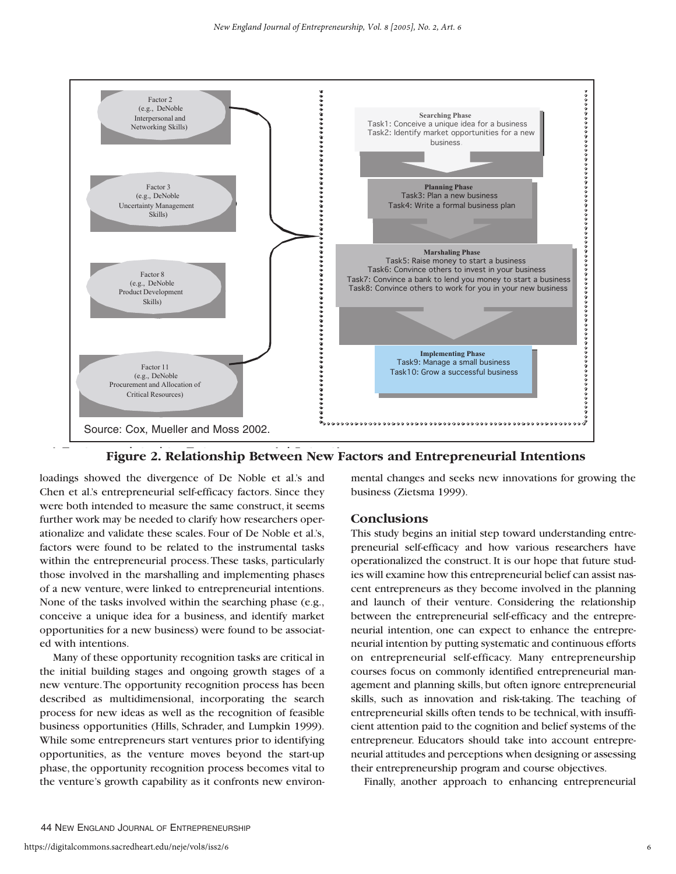

4 Factors related to Entrepreneurial Intentions **Figure 2. Relationship Between New Factors and Entrepreneurial Intentions**

loadings showed the divergence of De Noble et al.'s and Chen et al.'s entrepreneurial self-efficacy factors. Since they were both intended to measure the same construct, it seems further work may be needed to clarify how researchers operationalize and validate these scales. Four of De Noble et al.'s, factors were found to be related to the instrumental tasks within the entrepreneurial process.These tasks, particularly those involved in the marshalling and implementing phases of a new venture, were linked to entrepreneurial intentions. None of the tasks involved within the searching phase (e.g., conceive a unique idea for a business, and identify market opportunities for a new business) were found to be associated with intentions.

Many of these opportunity recognition tasks are critical in the initial building stages and ongoing growth stages of a new venture.The opportunity recognition process has been described as multidimensional, incorporating the search process for new ideas as well as the recognition of feasible business opportunities (Hills, Schrader, and Lumpkin 1999). While some entrepreneurs start ventures prior to identifying opportunities, as the venture moves beyond the start-up phase, the opportunity recognition process becomes vital to the venture's growth capability as it confronts new environ-

mental changes and seeks new innovations for growing the business (Zietsma 1999).

#### **Conclusions**

This study begins an initial step toward understanding entrepreneurial self-efficacy and how various researchers have operationalized the construct. It is our hope that future studies will examine how this entrepreneurial belief can assist nascent entrepreneurs as they become involved in the planning and launch of their venture. Considering the relationship between the entrepreneurial self-efficacy and the entrepreneurial intention, one can expect to enhance the entrepreneurial intention by putting systematic and continuous efforts on entrepreneurial self-efficacy. Many entrepreneurship courses focus on commonly identified entrepreneurial management and planning skills, but often ignore entrepreneurial skills, such as innovation and risk-taking. The teaching of entrepreneurial skills often tends to be technical, with insufficient attention paid to the cognition and belief systems of the entrepreneur. Educators should take into account entrepreneurial attitudes and perceptions when designing or assessing their entrepreneurship program and course objectives.

Finally, another approach to enhancing entrepreneurial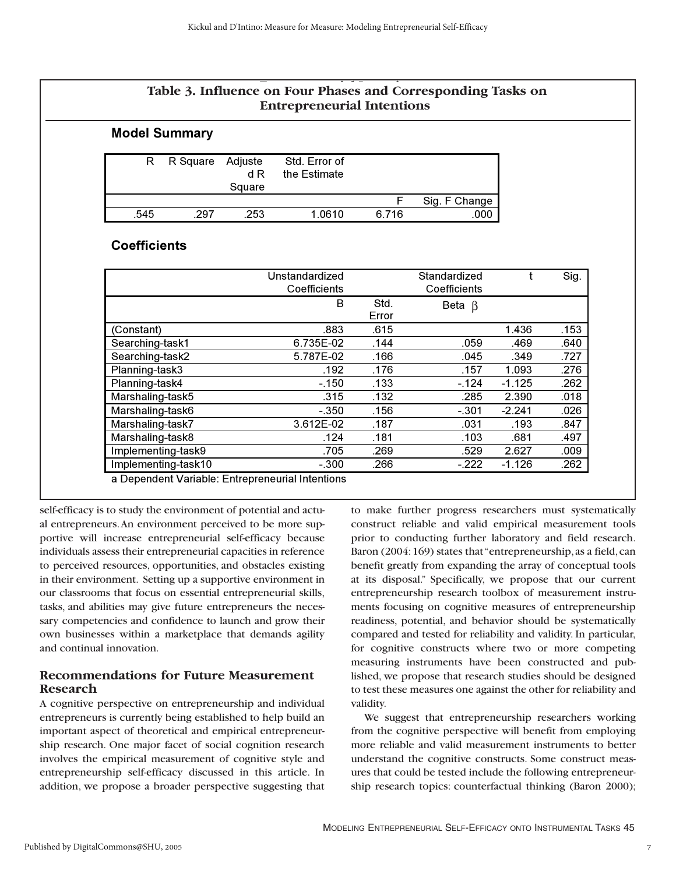## **Entrepreneurial Intentions Table 3. Influence on Four Phases and Corresponding Tasks on Entrepreneurial Intentions**

## **Model Summary**

| R.   | R Square Adjuste | d R<br>Square | Std. Error of<br>the Estimate |       |               |
|------|------------------|---------------|-------------------------------|-------|---------------|
|      |                  |               |                               |       | Sig. F Change |
| .545 | 297              | .253          | 1.0610                        | 6.716 |               |

## **Coefficients**

|                                                  | Unstandardized<br>Coefficients |       | Standardized<br>Coefficients |          | Sig. |
|--------------------------------------------------|--------------------------------|-------|------------------------------|----------|------|
|                                                  | B                              | Std.  | Beta $\beta$                 |          |      |
|                                                  |                                | Error |                              |          |      |
| (Constant)                                       | .883                           | .615  |                              | 1.436    | .153 |
| Searching-task1                                  | 6.735E-02                      | .144  | .059                         | .469     | .640 |
| Searching-task2                                  | 5.787E-02                      | .166  | .045                         | .349     | .727 |
| Planning-task3                                   | .192                           | .176  | .157                         | 1.093    | .276 |
| Planning-task4                                   | $-150$                         | .133  | $-.124$                      | $-1.125$ | .262 |
| Marshaling-task5                                 | .315                           | .132  | .285                         | 2.390    | .018 |
| Marshaling-task6                                 | $-.350$                        | .156  | $-.301$                      | $-2.241$ | .026 |
| Marshaling-task7                                 | 3.612E-02                      | .187  | .031                         | .193     | .847 |
| Marshaling-task8                                 | .124                           | .181  | .103                         | .681     | .497 |
| Implementing-task9                               | .705                           | .269  | .529                         | 2.627    | .009 |
| Implementing-task10                              | $-.300$                        | .266  | $-.222$                      | $-1.126$ | .262 |
| a Dependent Variable: Entrepreneurial Intentions |                                |       |                              |          |      |

self-efficacy is to study the environment of potential and actual entrepreneurs.An environment perceived to be more supportive will increase entrepreneurial self-efficacy because individuals assess their entrepreneurial capacities in reference to perceived resources, opportunities, and obstacles existing in their environment. Setting up a supportive environment in our classrooms that focus on essential entrepreneurial skills, tasks, and abilities may give future entrepreneurs the necessary competencies and confidence to launch and grow their own businesses within a marketplace that demands agility and continual innovation.

## **Recommendations for Future Measurement Research**

A cognitive perspective on entrepreneurship and individual entrepreneurs is currently being established to help build an important aspect of theoretical and empirical entrepreneurship research. One major facet of social cognition research involves the empirical measurement of cognitive style and entrepreneurship self-efficacy discussed in this article. In addition, we propose a broader perspective suggesting that to make further progress researchers must systematically construct reliable and valid empirical measurement tools prior to conducting further laboratory and field research. Baron (2004: 169) states that "entrepreneurship, as a field, can benefit greatly from expanding the array of conceptual tools at its disposal." Specifically, we propose that our current entrepreneurship research toolbox of measurement instruments focusing on cognitive measures of entrepreneurship readiness, potential, and behavior should be systematically compared and tested for reliability and validity. In particular, for cognitive constructs where two or more competing measuring instruments have been constructed and published, we propose that research studies should be designed to test these measures one against the other for reliability and validity.

We suggest that entrepreneurship researchers working from the cognitive perspective will benefit from employing more reliable and valid measurement instruments to better understand the cognitive constructs. Some construct measures that could be tested include the following entrepreneurship research topics: counterfactual thinking (Baron 2000);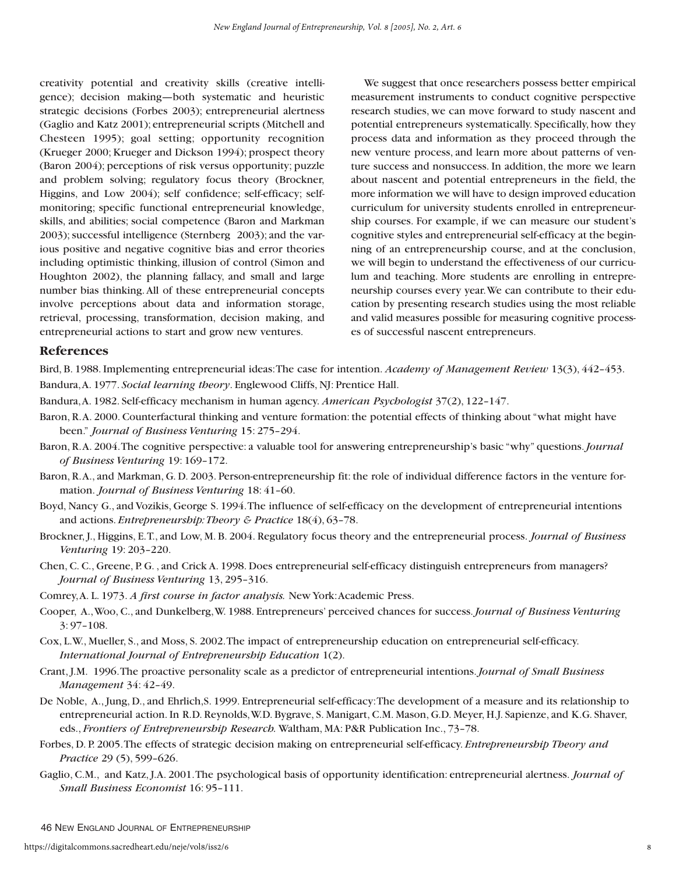creativity potential and creativity skills (creative intelligence); decision making—both systematic and heuristic strategic decisions (Forbes 2003); entrepreneurial alertness (Gaglio and Katz 2001); entrepreneurial scripts (Mitchell and Chesteen 1995); goal setting; opportunity recognition (Krueger 2000; Krueger and Dickson 1994); prospect theory (Baron 2004); perceptions of risk versus opportunity; puzzle and problem solving; regulatory focus theory (Brockner, Higgins, and Low 2004); self confidence; self-efficacy; selfmonitoring; specific functional entrepreneurial knowledge, skills, and abilities; social competence (Baron and Markman 2003); successful intelligence (Sternberg 2003); and the various positive and negative cognitive bias and error theories including optimistic thinking, illusion of control (Simon and Houghton 2002), the planning fallacy, and small and large number bias thinking. All of these entrepreneurial concepts involve perceptions about data and information storage, retrieval, processing, transformation, decision making, and entrepreneurial actions to start and grow new ventures.

We suggest that once researchers possess better empirical measurement instruments to conduct cognitive perspective research studies, we can move forward to study nascent and potential entrepreneurs systematically. Specifically, how they process data and information as they proceed through the new venture process, and learn more about patterns of venture success and nonsuccess. In addition, the more we learn about nascent and potential entrepreneurs in the field, the more information we will have to design improved education curriculum for university students enrolled in entrepreneurship courses. For example, if we can measure our student's cognitive styles and entrepreneurial self-efficacy at the beginning of an entrepreneurship course, and at the conclusion, we will begin to understand the effectiveness of our curriculum and teaching. More students are enrolling in entrepreneurship courses every year.We can contribute to their education by presenting research studies using the most reliable and valid measures possible for measuring cognitive processes of successful nascent entrepreneurs.

#### **References**

- Bird, B. 1988. Implementing entrepreneurial ideas:The case for intention. *Academy of Management Review* 13(3), 442–453. Bandura,A. 1977. *Social learning theory*. Englewood Cliffs, NJ: Prentice Hall.
- Bandura,A. 1982. Self-efficacy mechanism in human agency. *American Psychologist* 37(2), 122–147.
- Baron, R.A. 2000. Counterfactural thinking and venture formation: the potential effects of thinking about "what might have been." *Journal of Business Venturing* 15: 275–294.
- Baron, R.A. 2004.The cognitive perspective: a valuable tool for answering entrepreneurship's basic "why" questions.*Journal of Business Venturing* 19: 169–172.
- Baron, R.A., and Markman, G. D. 2003. Person-entrepreneurship fit: the role of individual difference factors in the venture formation. *Journal of Business Venturing* 18: 41–60.
- Boyd, Nancy G., and Vozikis, George S. 1994.The influence of self-efficacy on the development of entrepreneurial intentions and actions. *Entrepreneurship:Theory & Practice* 18(4), 63–78.
- Brockner, J., Higgins, E.T., and Low, M. B. 2004. Regulatory focus theory and the entrepreneurial process. *Journal of Business Venturing* 19: 203–220.
- Chen, C. C., Greene, P. G. , and Crick A. 1998. Does entrepreneurial self-efficacy distinguish entrepreneurs from managers? *Journal of Business Venturing* 13, 295–316.
- Comrey,A. L. 1973. *A first course in factor analysis.* New York:Academic Press.
- Cooper, A.,Woo, C., and Dunkelberg,W. 1988. Entrepreneurs' perceived chances for success.*Journal of Business Venturing* 3: 97–108.
- Cox, L.W., Mueller, S., and Moss, S. 2002.The impact of entrepreneurship education on entrepreneurial self-efficacy. *International Journal of Entrepreneurship Education* 1(2).
- Crant, J.M. 1996.The proactive personality scale as a predictor of entrepreneurial intentions.*Journal of Small Business Management* 34: 42–49.
- De Noble, A., Jung, D., and Ehrlich,S. 1999. Entrepreneurial self-efficacy:The development of a measure and its relationship to entrepreneurial action. In R.D. Reynolds,W.D. Bygrave, S. Manigart, C.M. Mason, G.D. Meyer, H.J. Sapienze, and K.G. Shaver, eds., *Frontiers of Entrepreneurship Research.* Waltham, MA: P&R Publication Inc., 73–78.
- Forbes, D. P. 2005.The effects of strategic decision making on entrepreneurial self-efficacy. *Entrepreneurship Theory and Practice* 29 (5), 599–626.
- Gaglio, C.M., and Katz, J.A. 2001.The psychological basis of opportunity identification: entrepreneurial alertness. *Journal of Small Business Economist* 16: 95–111.